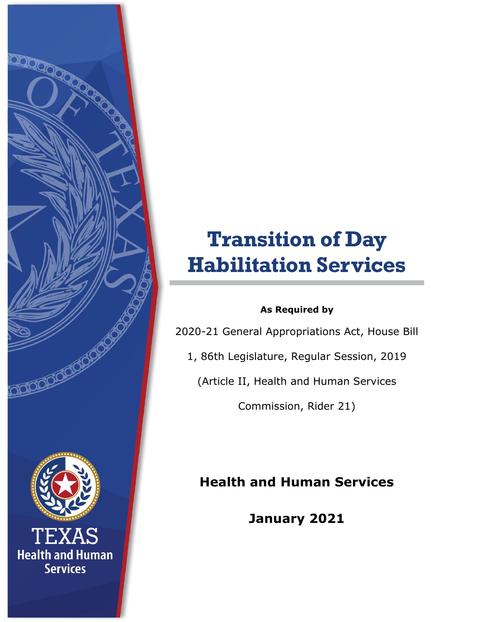# **Transition of Day Habilitation Services**

### **As Required by**

2020-21 General Appropriations Act, House Bill

1, 86th Legislature, Regular Session, 2019

(Article II, Health and Human Services

Commission, Rider 21)

# **Health and Human Services**

**January 2021**



AS. **Health and Human Services**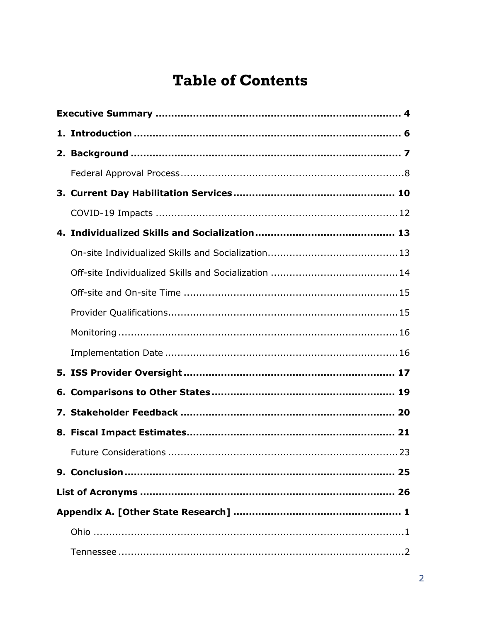# **Table of Contents**

| 6. |  |  |
|----|--|--|
|    |  |  |
|    |  |  |
|    |  |  |
|    |  |  |
|    |  |  |
|    |  |  |
|    |  |  |
|    |  |  |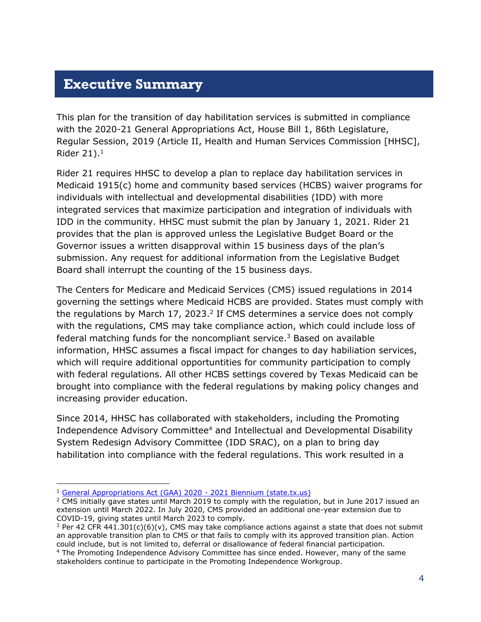### <span id="page-3-0"></span>**Executive Summary**

This plan for the transition of day habilitation services is submitted in compliance with the 2020-21 General Appropriations Act, House Bill 1, 86th Legislature, Regular Session, 2019 (Article II, Health and Human Services Commission [HHSC], Rider  $21$ ).<sup>1</sup>

Rider 21 requires HHSC to develop a plan to replace day habilitation services in Medicaid 1915(c) home and community based services (HCBS) waiver programs for individuals with intellectual and developmental disabilities (IDD) with more integrated services that maximize participation and integration of individuals with IDD in the community. HHSC must submit the plan by January 1, 2021. Rider 21 provides that the plan is approved unless the Legislative Budget Board or the Governor issues a written disapproval within 15 business days of the plan's submission. Any request for additional information from the Legislative Budget Board shall interrupt the counting of the 15 business days.

The Centers for Medicare and Medicaid Services (CMS) issued regulations in 2014 governing the settings where Medicaid HCBS are provided. States must comply with the regulations by March 17, 2023. $^2$  If CMS determines a service does not comply with the regulations, CMS may take compliance action, which could include loss of federal matching funds for the noncompliant service. $3$  Based on available information, HHSC assumes a fiscal impact for changes to day habiliation services, which will require additional opportuntities for community participation to comply with federal regulations. All other HCBS settings covered by Texas Medicaid can be brought into compliance with the federal regulations by making policy changes and increasing provider education.

Since 2014, HHSC has collaborated with stakeholders, including the Promoting Independence Advisory Committee<sup>4</sup> and Intellectual and Developmental Disability System Redesign Advisory Committee (IDD SRAC), on a plan to bring day habilitation into compliance with the federal regulations. This work resulted in a

-

stakeholders continue to participate in the Promoting Independence Workgroup.

<sup>&</sup>lt;sup>1</sup> [General Appropriations Act \(GAA\) 2020 -](https://www.lbb.state.tx.us/Documents/GAA/General_Appropriations_Act_2020_2021.pdf) 2021 Biennium (state.tx.us)

<sup>&</sup>lt;sup>2</sup> CMS initially gave states until March 2019 to comply with the regulation, but in June 2017 issued an extension until March 2022. In July 2020, CMS provided an additional one-year extension due to COVID-19, giving states until March 2023 to comply.

<sup>&</sup>lt;sup>3</sup> Per 42 CFR 441.301(c)(6)(v), CMS may take compliance actions against a state that does not submit an approvable transition plan to CMS or that fails to comply with its approved transition plan. Action could include, but is not limited to, deferral or disallowance of federal financial participation. <sup>4</sup> The Promoting Independence Advisory Committee has since ended. However, many of the same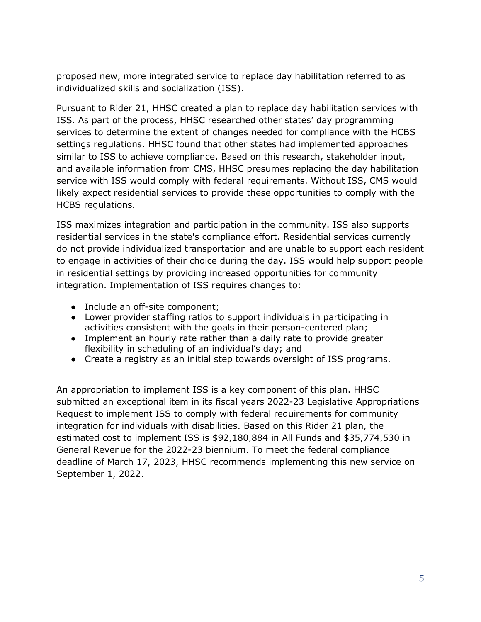proposed new, more integrated service to replace day habilitation referred to as individualized skills and socialization (ISS).

Pursuant to Rider 21, HHSC created a plan to replace day habilitation services with ISS. As part of the process, HHSC researched other states' day programming services to determine the extent of changes needed for compliance with the HCBS settings regulations. HHSC found that other states had implemented approaches similar to ISS to achieve compliance. Based on this research, stakeholder input, and available information from CMS, HHSC presumes replacing the day habilitation service with ISS would comply with federal requirements. Without ISS, CMS would likely expect residential services to provide these opportunities to comply with the HCBS regulations.

ISS maximizes integration and participation in the community. ISS also supports residential services in the state's compliance effort. Residential services currently do not provide individualized transportation and are unable to support each resident to engage in activities of their choice during the day. ISS would help support people in residential settings by providing increased opportunities for community integration. Implementation of ISS requires changes to:

- Include an off-site component;
- Lower provider staffing ratios to support individuals in participating in activities consistent with the goals in their person-centered plan;
- Implement an hourly rate rather than a daily rate to provide greater flexibility in scheduling of an individual's day; and
- Create a registry as an initial step towards oversight of ISS programs.

An appropriation to implement ISS is a key component of this plan. HHSC submitted an exceptional item in its fiscal years 2022-23 Legislative Appropriations Request to implement ISS to comply with federal requirements for community integration for individuals with disabilities. Based on this Rider 21 plan, the estimated cost to implement ISS is \$92,180,884 in All Funds and \$35,774,530 in General Revenue for the 2022-23 biennium. To meet the federal compliance deadline of March 17, 2023, HHSC recommends implementing this new service on September 1, 2022.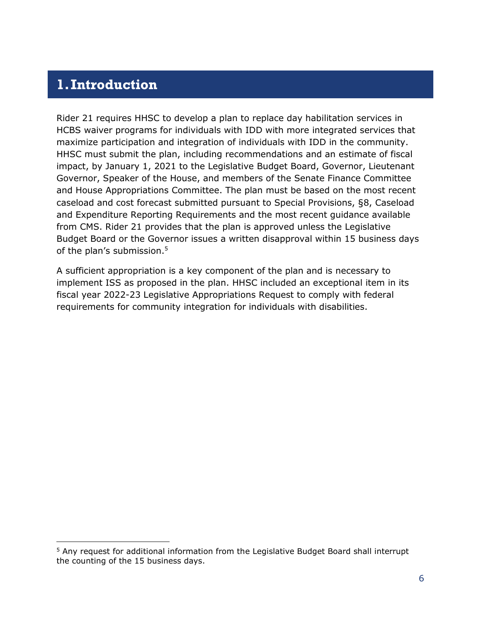### <span id="page-5-0"></span>**1.Introduction**

 $\overline{a}$ 

Rider 21 requires HHSC to develop a plan to replace day habilitation services in HCBS waiver programs for individuals with IDD with more integrated services that maximize participation and integration of individuals with IDD in the community. HHSC must submit the plan, including recommendations and an estimate of fiscal impact, by January 1, 2021 to the Legislative Budget Board, Governor, Lieutenant Governor, Speaker of the House, and members of the Senate Finance Committee and House Appropriations Committee. The plan must be based on the most recent caseload and cost forecast submitted pursuant to Special Provisions, §8, Caseload and Expenditure Reporting Requirements and the most recent guidance available from CMS. Rider 21 provides that the plan is approved unless the Legislative Budget Board or the Governor issues a written disapproval within 15 business days of the plan's submission.<sup>5</sup>

A sufficient appropriation is a key component of the plan and is necessary to implement ISS as proposed in the plan. HHSC included an exceptional item in its fiscal year 2022-23 Legislative Appropriations Request to comply with federal requirements for community integration for individuals with disabilities.

<sup>&</sup>lt;sup>5</sup> Any request for additional information from the Legislative Budget Board shall interrupt the counting of the 15 business days.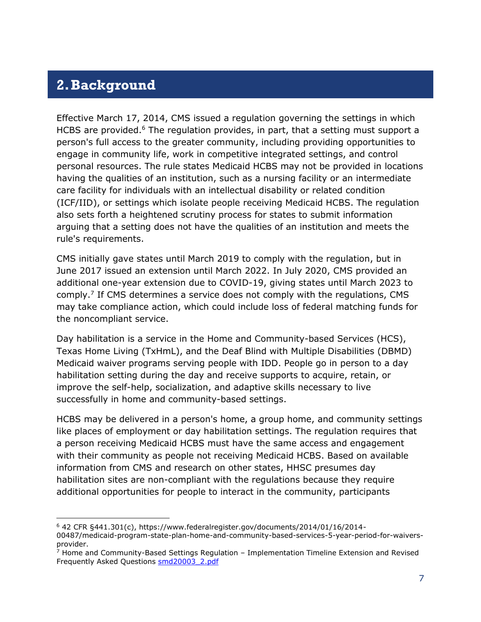### <span id="page-6-0"></span>**2.Background**

 $\overline{a}$ 

Effective March 17, 2014, CMS issued a regulation governing the settings in which HCBS are provided.<sup>6</sup> The regulation provides, in part, that a setting must support a person's full access to the greater community, including providing opportunities to engage in community life, work in competitive integrated settings, and control personal resources. The rule states Medicaid HCBS may not be provided in locations having the qualities of an institution, such as a nursing facility or an intermediate care facility for individuals with an intellectual disability or related condition (ICF/IID), or settings which isolate people receiving Medicaid HCBS. The regulation also sets forth a heightened scrutiny process for states to submit information arguing that a setting does not have the qualities of an institution and meets the rule's requirements.

CMS initially gave states until March 2019 to comply with the regulation, but in June 2017 issued an extension until March 2022. In July 2020, CMS provided an additional one-year extension due to COVID-19, giving states until March 2023 to comply.<sup>7</sup> If CMS determines a service does not comply with the regulations, CMS may take compliance action, which could include loss of federal matching funds for the noncompliant service.

Day habilitation is a service in the Home and Community-based Services (HCS), Texas Home Living (TxHmL), and the Deaf Blind with Multiple Disabilities (DBMD) Medicaid waiver programs serving people with IDD. People go in person to a day habilitation setting during the day and receive supports to acquire, retain, or improve the self-help, socialization, and adaptive skills necessary to live successfully in home and community-based settings.

HCBS may be delivered in a person's home, a group home, and community settings like places of employment or day habilitation settings. The regulation requires that a person receiving Medicaid HCBS must have the same access and engagement with their community as people not receiving Medicaid HCBS. Based on available information from CMS and research on other states, HHSC presumes day habilitation sites are non-compliant with the regulations because they require additional opportunities for people to interact in the community, participants

<sup>6</sup> 42 CFR §441.301(c), https://www.federalregister.gov/documents/2014/01/16/2014- 00487/medicaid-program-state-plan-home-and-community-based-services-5-year-period-for-waiversprovider.

 $<sup>7</sup>$  Home and Community-Based Settings Regulation – Implementation Timeline Extension and Revised</sup> Frequently Asked Questions [smd20003\\_2.pdf](file:///Q:/HH0037012024/HCBS/smd20003_2.pdf)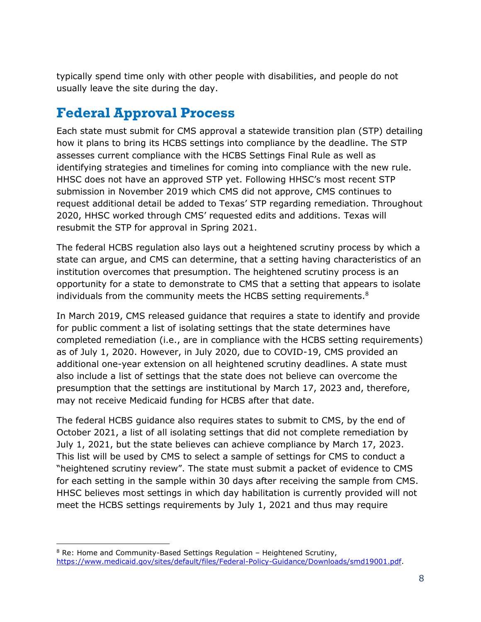typically spend time only with other people with disabilities, and people do not usually leave the site during the day.

# <span id="page-7-0"></span>**Federal Approval Process**

-

Each state must submit for CMS approval a statewide transition plan (STP) detailing how it plans to bring its HCBS settings into compliance by the deadline. The STP assesses current compliance with the HCBS Settings Final Rule as well as identifying strategies and timelines for coming into compliance with the new rule. HHSC does not have an approved STP yet. Following HHSC's most recent STP submission in November 2019 which CMS did not approve, CMS continues to request additional detail be added to Texas' STP regarding remediation. Throughout 2020, HHSC worked through CMS' requested edits and additions. Texas will resubmit the STP for approval in Spring 2021.

The federal HCBS regulation also lays out a heightened scrutiny process by which a state can argue, and CMS can determine, that a setting having characteristics of an institution overcomes that presumption. The heightened scrutiny process is an opportunity for a state to demonstrate to CMS that a setting that appears to isolate individuals from the community meets the HCBS setting requirements. $8$ 

In March 2019, CMS released guidance that requires a state to identify and provide for public comment a list of isolating settings that the state determines have completed remediation (i.e., are in compliance with the HCBS setting requirements) as of July 1, 2020. However, in July 2020, due to COVID-19, CMS provided an additional one-year extension on all heightened scrutiny deadlines. A state must also include a list of settings that the state does not believe can overcome the presumption that the settings are institutional by March 17, 2023 and, therefore, may not receive Medicaid funding for HCBS after that date.

The federal HCBS guidance also requires states to submit to CMS, by the end of October 2021, a list of all isolating settings that did not complete remediation by July 1, 2021, but the state believes can achieve compliance by March 17, 2023. This list will be used by CMS to select a sample of settings for CMS to conduct a "heightened scrutiny review". The state must submit a packet of evidence to CMS for each setting in the sample within 30 days after receiving the sample from CMS. HHSC believes most settings in which day habilitation is currently provided will not meet the HCBS settings requirements by July 1, 2021 and thus may require

<sup>8</sup> Re: Home and Community-Based Settings Regulation – Heightened Scrutiny, [https://www.medicaid.gov/sites/default/files/Federal-Policy-Guidance/Downloads/smd19001.pdf.](https://www.medicaid.gov/sites/default/files/Federal-Policy-Guidance/Downloads/smd19001.pdf)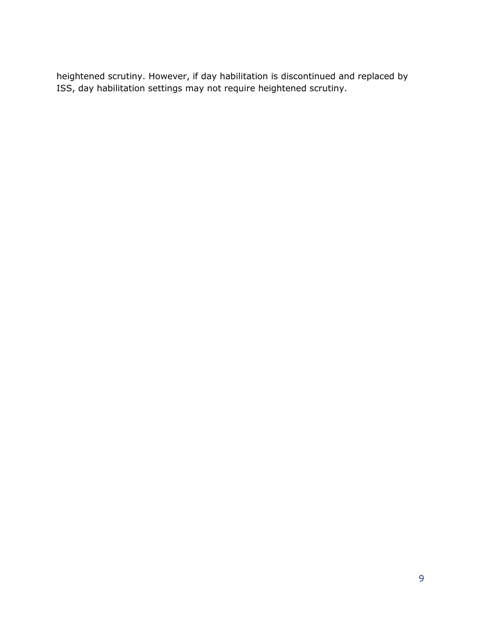heightened scrutiny. However, if day habilitation is discontinued and replaced by ISS, day habilitation settings may not require heightened scrutiny.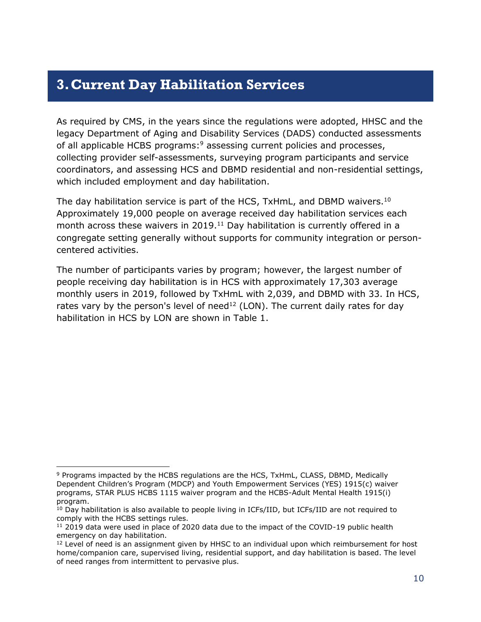### <span id="page-9-0"></span>**3.Current Day Habilitation Services**

As required by CMS, in the years since the regulations were adopted, HHSC and the legacy Department of Aging and Disability Services (DADS) conducted assessments of all applicable HCBS programs:<sup>9</sup> assessing current policies and processes, collecting provider self-assessments, surveying program participants and service coordinators, and assessing HCS and DBMD residential and non-residential settings, which included employment and day habilitation.

The day habilitation service is part of the HCS, TxHmL, and DBMD waivers.<sup>10</sup> Approximately 19,000 people on average received day habilitation services each month across these waivers in 2019. <sup>11</sup> Day habilitation is currently offered in a congregate setting generally without supports for community integration or personcentered activities.

The number of participants varies by program; however, the largest number of people receiving day habilitation is in HCS with approximately 17,303 average monthly users in 2019, followed by TxHmL with 2,039, and DBMD with 33. In HCS, rates vary by the person's level of need<sup>12</sup> (LON). The current daily rates for day habilitation in HCS by LON are shown in Table 1.

 $\overline{a}$ 

<sup>9</sup> Programs impacted by the HCBS regulations are the HCS, TxHmL, CLASS, DBMD, Medically Dependent Children's Program (MDCP) and Youth Empowerment Services (YES) 1915(c) waiver programs, STAR PLUS HCBS 1115 waiver program and the HCBS-Adult Mental Health 1915(i) program.

 $10$  Day habilitation is also available to people living in ICFs/IID, but ICFs/IID are not required to comply with the HCBS settings rules.

 $11$  2019 data were used in place of 2020 data due to the impact of the COVID-19 public health emergency on day habilitation.

<sup>&</sup>lt;sup>12</sup> Level of need is an assignment given by HHSC to an individual upon which reimbursement for host home/companion care, supervised living, residential support, and day habilitation is based. The level of need ranges from intermittent to pervasive plus.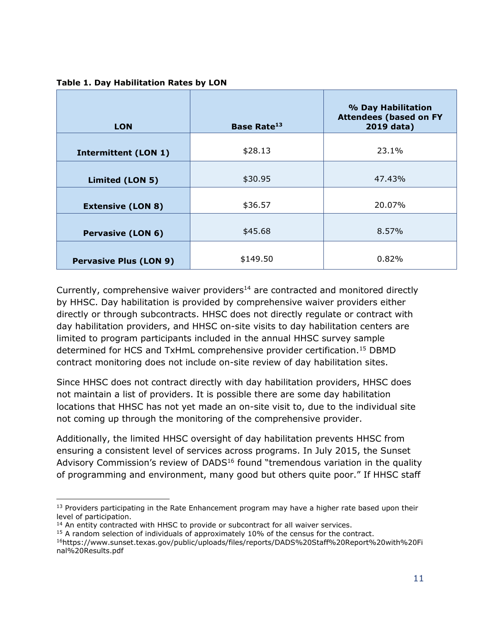| <b>LON</b>                    | <b>Base Rate<sup>13</sup></b> | % Day Habilitation<br><b>Attendees (based on FY</b><br>2019 data) |
|-------------------------------|-------------------------------|-------------------------------------------------------------------|
| <b>Intermittent (LON 1)</b>   | \$28.13                       | 23.1%                                                             |
| Limited (LON 5)               | \$30.95                       | 47.43%                                                            |
| <b>Extensive (LON 8)</b>      | \$36.57                       | 20.07%                                                            |
| <b>Pervasive (LON 6)</b>      | \$45.68                       | 8.57%                                                             |
| <b>Pervasive Plus (LON 9)</b> | \$149.50                      | 0.82%                                                             |

**Table 1. Day Habilitation Rates by LON**

Currently, comprehensive waiver providers<sup>14</sup> are contracted and monitored directly by HHSC. Day habilitation is provided by comprehensive waiver providers either directly or through subcontracts. HHSC does not directly regulate or contract with day habilitation providers, and HHSC on-site visits to day habilitation centers are limited to program participants included in the annual HHSC survey sample determined for HCS and TxHmL comprehensive provider certification.<sup>15</sup> DBMD contract monitoring does not include on-site review of day habilitation sites.

Since HHSC does not contract directly with day habilitation providers, HHSC does not maintain a list of providers. It is possible there are some day habilitation locations that HHSC has not yet made an on-site visit to, due to the individual site not coming up through the monitoring of the comprehensive provider.

Additionally, the limited HHSC oversight of day habilitation prevents HHSC from ensuring a consistent level of services across programs. In July 2015, the Sunset Advisory Commission's review of DADS $16$  found "tremendous variation in the quality of programming and environment, many good but others quite poor." If HHSC staff

 $\overline{a}$ 

<sup>&</sup>lt;sup>13</sup> Providers participating in the Rate Enhancement program may have a higher rate based upon their level of participation.

 $14$  An entity contracted with HHSC to provide or subcontract for all waiver services.

<sup>&</sup>lt;sup>15</sup> A random selection of individuals of approximately 10% of the census for the contract.

<sup>16</sup>https://www.sunset.texas.gov/public/uploads/files/reports/DADS%20Staff%20Report%20with%20Fi nal%20Results.pdf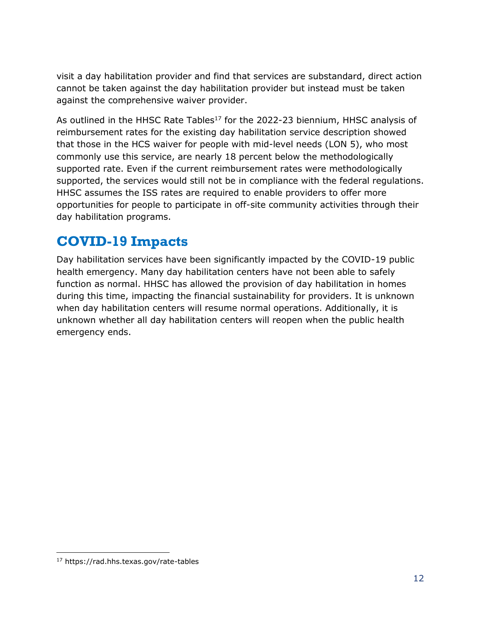visit a day habilitation provider and find that services are substandard, direct action cannot be taken against the day habilitation provider but instead must be taken against the comprehensive waiver provider.

As outlined in the HHSC Rate Tables<sup>17</sup> for the 2022-23 biennium, HHSC analysis of reimbursement rates for the existing day habilitation service description showed that those in the HCS waiver for people with mid-level needs (LON 5), who most commonly use this service, are nearly 18 percent below the methodologically supported rate. Even if the current reimbursement rates were methodologically supported, the services would still not be in compliance with the federal regulations. HHSC assumes the ISS rates are required to enable providers to offer more opportunities for people to participate in off-site community activities through their day habilitation programs.

# <span id="page-11-0"></span>**COVID-19 Impacts**

Day habilitation services have been significantly impacted by the COVID-19 public health emergency. Many day habilitation centers have not been able to safely function as normal. HHSC has allowed the provision of day habilitation in homes during this time, impacting the financial sustainability for providers. It is unknown when day habilitation centers will resume normal operations. Additionally, it is unknown whether all day habilitation centers will reopen when the public health emergency ends.

j

<sup>17</sup> https://rad.hhs.texas.gov/rate-tables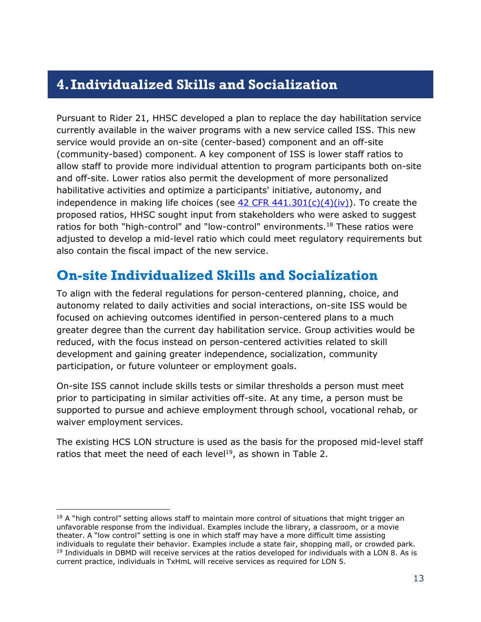### <span id="page-12-0"></span>**4.Individualized Skills and Socialization**

Pursuant to Rider 21, HHSC developed a plan to replace the day habilitation service currently available in the waiver programs with a new service called ISS. This new service would provide an on-site (center-based) component and an off-site (community-based) component. A key component of ISS is lower staff ratios to allow staff to provide more individual attention to program participants both on-site and off-site. Lower ratios also permit the development of more personalized habilitative activities and optimize a participants' initiative, autonomy, and independence in making life choices (see  $\frac{42 \text{ CFR } 441.301(c)(4)(iv)}{i}$ ). To create the proposed ratios, HHSC sought input from stakeholders who were asked to suggest ratios for both "high-control" and "low-control" environments.<sup>18</sup> These ratios were adjusted to develop a mid-level ratio which could meet regulatory requirements but also contain the fiscal impact of the new service.

### <span id="page-12-1"></span>**On-site Individualized Skills and Socialization**

To align with the federal regulations for person-centered planning, choice, and autonomy related to daily activities and social interactions, on-site ISS would be focused on achieving outcomes identified in person-centered plans to a much greater degree than the current day habilitation service. Group activities would be reduced, with the focus instead on person-centered activities related to skill development and gaining greater independence, socialization, community participation, or future volunteer or employment goals.

On-site ISS cannot include skills tests or similar thresholds a person must meet prior to participating in similar activities off-site. At any time, a person must be supported to pursue and achieve employment through school, vocational rehab, or waiver employment services.

The existing HCS LON structure is used as the basis for the proposed mid-level staff ratios that meet the need of each level<sup>19</sup>, as shown in Table 2.

 $\overline{a}$ 

 $18$  A "high control" setting allows staff to maintain more control of situations that might trigger an unfavorable response from the individual. Examples include the library, a classroom, or a movie theater. A "low control" setting is one in which staff may have a more difficult time assisting individuals to regulate their behavior. Examples include a state fair, shopping mall, or crowded park. <sup>19</sup> Individuals in DBMD will receive services at the ratios developed for individuals with a LON 8. As is current practice, individuals in TxHmL will receive services as required for LON 5.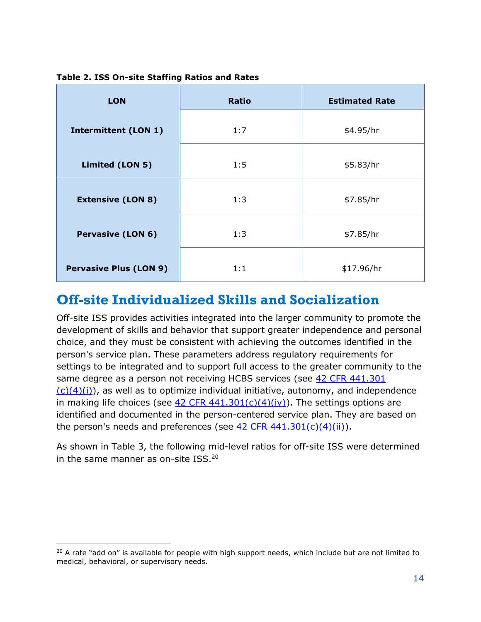| <b>LON</b>                    | <b>Ratio</b> | <b>Estimated Rate</b> |
|-------------------------------|--------------|-----------------------|
| <b>Intermittent (LON 1)</b>   | 1:7          | \$4.95/hr             |
| Limited (LON 5)               | 1:5          | \$5.83/hr             |
| <b>Extensive (LON 8)</b>      | 1:3          | \$7.85/hr             |
| <b>Pervasive (LON 6)</b>      | 1:3          | \$7.85/hr             |
| <b>Pervasive Plus (LON 9)</b> | 1:1          | \$17.96/hr            |

**Table 2. ISS On-site Staffing Ratios and Rates**

### <span id="page-13-0"></span>**Off-site Individualized Skills and Socialization**

Off-site ISS provides activities integrated into the larger community to promote the development of skills and behavior that support greater independence and personal choice, and they must be consistent with achieving the outcomes identified in the person's service plan. These parameters address regulatory requirements for settings to be integrated and to support full access to the greater community to the same degree as a person not receiving HCBS services (see [42 CFR 441.301](https://www.ecfr.gov/cgi-bin/retrieveECFR?gp=&SID=b7ebd395fd034f1f1048653a677f8056&mc=true&n=pt42.4.441&r=PART&ty=HTML#se42.4.441_1301)   $(c)(4)(i)$ , as well as to optimize individual initiative, autonomy, and independence in making life choices (see 42 CFR  $441.301(c)(4)(iv)$ ). The settings options are identified and documented in the person-centered service plan. They are based on the person's needs and preferences (see 42 CFR  $441.301(c)(4)(ii)$ ).

As shown in Table 3, the following mid-level ratios for off-site ISS were determined in the same manner as on-site ISS.<sup>20</sup>

-

<sup>&</sup>lt;sup>20</sup> A rate "add on" is available for people with high support needs, which include but are not limited to medical, behavioral, or supervisory needs.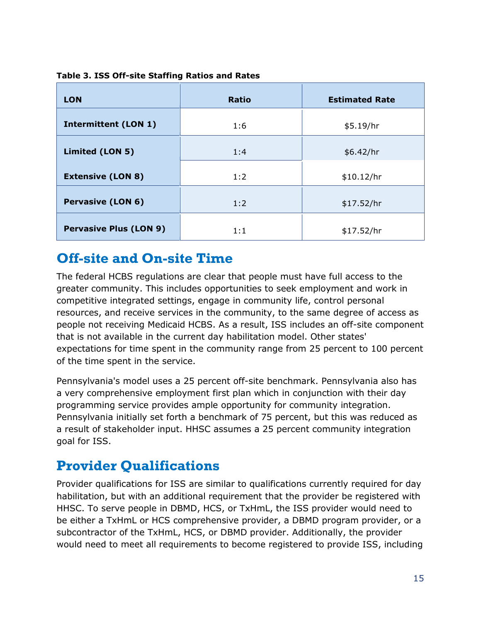| <b>LON</b>                    | <b>Ratio</b> | <b>Estimated Rate</b> |
|-------------------------------|--------------|-----------------------|
| <b>Intermittent (LON 1)</b>   | 1:6          | \$5.19/hr             |
| Limited (LON 5)               | 1:4          | \$6.42/hr             |
| <b>Extensive (LON 8)</b>      | 1:2          | \$10.12/hr            |
| <b>Pervasive (LON 6)</b>      | 1:2          | \$17.52/hr            |
| <b>Pervasive Plus (LON 9)</b> | 1:1          | \$17.52/hr            |

#### **Table 3. ISS Off-site Staffing Ratios and Rates**

### <span id="page-14-0"></span>**Off-site and On-site Time**

The federal HCBS regulations are clear that people must have full access to the greater community. This includes opportunities to seek employment and work in competitive integrated settings, engage in community life, control personal resources, and receive services in the community, to the same degree of access as people not receiving Medicaid HCBS. As a result, ISS includes an off-site component that is not available in the current day habilitation model. Other states' expectations for time spent in the community range from 25 percent to 100 percent of the time spent in the service.

Pennsylvania's model uses a 25 percent off-site benchmark. Pennsylvania also has a very comprehensive employment first plan which in conjunction with their day programming service provides ample opportunity for community integration. Pennsylvania initially set forth a benchmark of 75 percent, but this was reduced as a result of stakeholder input. HHSC assumes a 25 percent community integration goal for ISS.

### <span id="page-14-1"></span>**Provider Qualifications**

Provider qualifications for ISS are similar to qualifications currently required for day habilitation, but with an additional requirement that the provider be registered with HHSC. To serve people in DBMD, HCS, or TxHmL, the ISS provider would need to be either a TxHmL or HCS comprehensive provider, a DBMD program provider, or a subcontractor of the TxHmL, HCS, or DBMD provider. Additionally, the provider would need to meet all requirements to become registered to provide ISS, including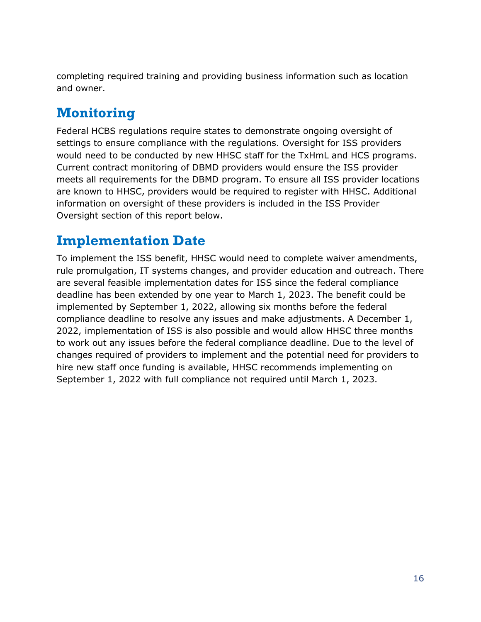completing required training and providing business information such as location and owner.

# <span id="page-15-0"></span>**Monitoring**

Federal HCBS regulations require states to demonstrate ongoing oversight of settings to ensure compliance with the regulations. Oversight for ISS providers would need to be conducted by new HHSC staff for the TxHmL and HCS programs. Current contract monitoring of DBMD providers would ensure the ISS provider meets all requirements for the DBMD program. To ensure all ISS provider locations are known to HHSC, providers would be required to register with HHSC. Additional information on oversight of these providers is included in the ISS Provider Oversight section of this report below.

### <span id="page-15-1"></span>**Implementation Date**

To implement the ISS benefit, HHSC would need to complete waiver amendments, rule promulgation, IT systems changes, and provider education and outreach. There are several feasible implementation dates for ISS since the federal compliance deadline has been extended by one year to March 1, 2023. The benefit could be implemented by September 1, 2022, allowing six months before the federal compliance deadline to resolve any issues and make adjustments. A December 1, 2022, implementation of ISS is also possible and would allow HHSC three months to work out any issues before the federal compliance deadline. Due to the level of changes required of providers to implement and the potential need for providers to hire new staff once funding is available, HHSC recommends implementing on September 1, 2022 with full compliance not required until March 1, 2023.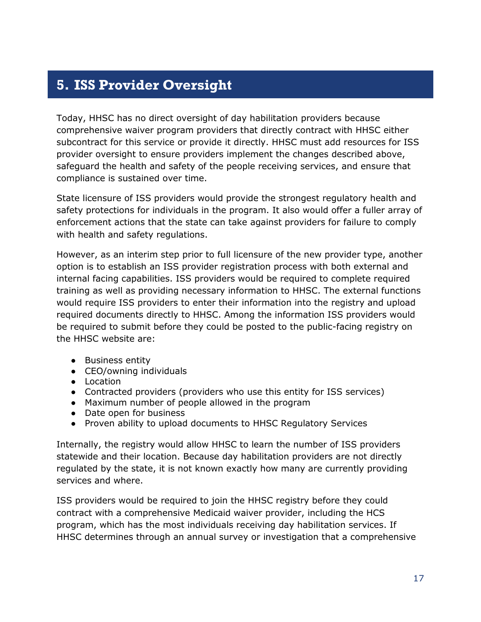# <span id="page-16-0"></span>**5. ISS Provider Oversight**

Today, HHSC has no direct oversight of day habilitation providers because comprehensive waiver program providers that directly contract with HHSC either subcontract for this service or provide it directly. HHSC must add resources for ISS provider oversight to ensure providers implement the changes described above, safeguard the health and safety of the people receiving services, and ensure that compliance is sustained over time.

State licensure of ISS providers would provide the strongest regulatory health and safety protections for individuals in the program. It also would offer a fuller array of enforcement actions that the state can take against providers for failure to comply with health and safety regulations.

However, as an interim step prior to full licensure of the new provider type, another option is to establish an ISS provider registration process with both external and internal facing capabilities. ISS providers would be required to complete required training as well as providing necessary information to HHSC. The external functions would require ISS providers to enter their information into the registry and upload required documents directly to HHSC. Among the information ISS providers would be required to submit before they could be posted to the public-facing registry on the HHSC website are:

- Business entity
- CEO/owning individuals
- Location
- Contracted providers (providers who use this entity for ISS services)
- Maximum number of people allowed in the program
- Date open for business
- Proven ability to upload documents to HHSC Regulatory Services

Internally, the registry would allow HHSC to learn the number of ISS providers statewide and their location. Because day habilitation providers are not directly regulated by the state, it is not known exactly how many are currently providing services and where.

ISS providers would be required to join the HHSC registry before they could contract with a comprehensive Medicaid waiver provider, including the HCS program, which has the most individuals receiving day habilitation services. If HHSC determines through an annual survey or investigation that a comprehensive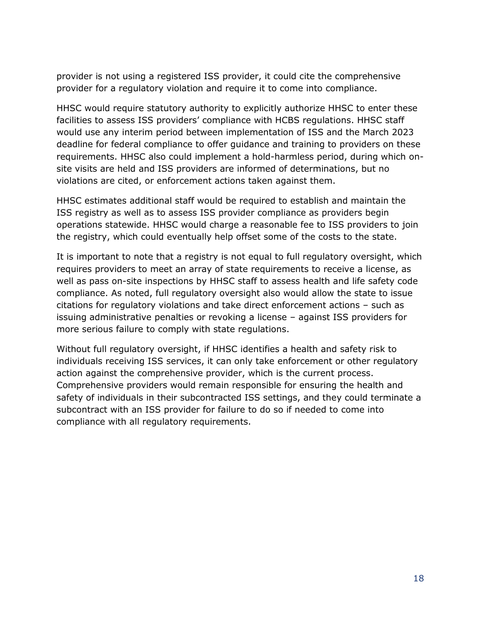provider is not using a registered ISS provider, it could cite the comprehensive provider for a regulatory violation and require it to come into compliance.

HHSC would require statutory authority to explicitly authorize HHSC to enter these facilities to assess ISS providers' compliance with HCBS regulations. HHSC staff would use any interim period between implementation of ISS and the March 2023 deadline for federal compliance to offer guidance and training to providers on these requirements. HHSC also could implement a hold-harmless period, during which onsite visits are held and ISS providers are informed of determinations, but no violations are cited, or enforcement actions taken against them.

HHSC estimates additional staff would be required to establish and maintain the ISS registry as well as to assess ISS provider compliance as providers begin operations statewide. HHSC would charge a reasonable fee to ISS providers to join the registry, which could eventually help offset some of the costs to the state.

It is important to note that a registry is not equal to full regulatory oversight, which requires providers to meet an array of state requirements to receive a license, as well as pass on-site inspections by HHSC staff to assess health and life safety code compliance. As noted, full regulatory oversight also would allow the state to issue citations for regulatory violations and take direct enforcement actions – such as issuing administrative penalties or revoking a license – against ISS providers for more serious failure to comply with state regulations.

Without full regulatory oversight, if HHSC identifies a health and safety risk to individuals receiving ISS services, it can only take enforcement or other regulatory action against the comprehensive provider, which is the current process. Comprehensive providers would remain responsible for ensuring the health and safety of individuals in their subcontracted ISS settings, and they could terminate a subcontract with an ISS provider for failure to do so if needed to come into compliance with all regulatory requirements.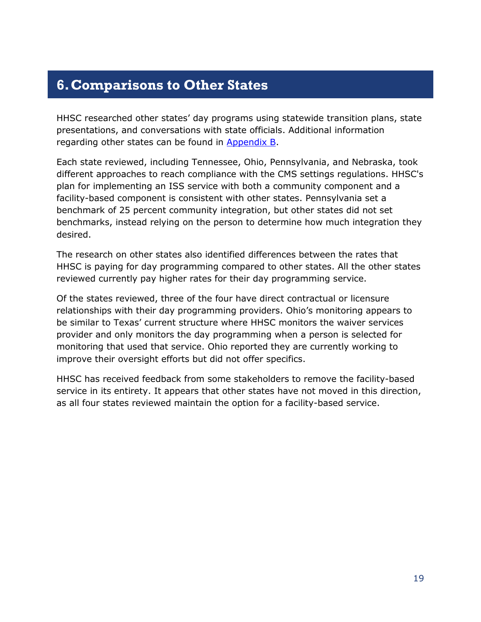### <span id="page-18-0"></span>**6.Comparisons to Other States**

HHSC researched other states' day programs using statewide transition plans, state presentations, and conversations with state officials. Additional information regarding other states can be found in [Appendix B.](#page-26-0)

Each state reviewed, including Tennessee, Ohio, Pennsylvania, and Nebraska, took different approaches to reach compliance with the CMS settings regulations. HHSC's plan for implementing an ISS service with both a community component and a facility-based component is consistent with other states. Pennsylvania set a benchmark of 25 percent community integration, but other states did not set benchmarks, instead relying on the person to determine how much integration they desired.

The research on other states also identified differences between the rates that HHSC is paying for day programming compared to other states. All the other states reviewed currently pay higher rates for their day programming service.

Of the states reviewed, three of the four have direct contractual or licensure relationships with their day programming providers. Ohio's monitoring appears to be similar to Texas' current structure where HHSC monitors the waiver services provider and only monitors the day programming when a person is selected for monitoring that used that service. Ohio reported they are currently working to improve their oversight efforts but did not offer specifics.

HHSC has received feedback from some stakeholders to remove the facility-based service in its entirety. It appears that other states have not moved in this direction, as all four states reviewed maintain the option for a facility-based service.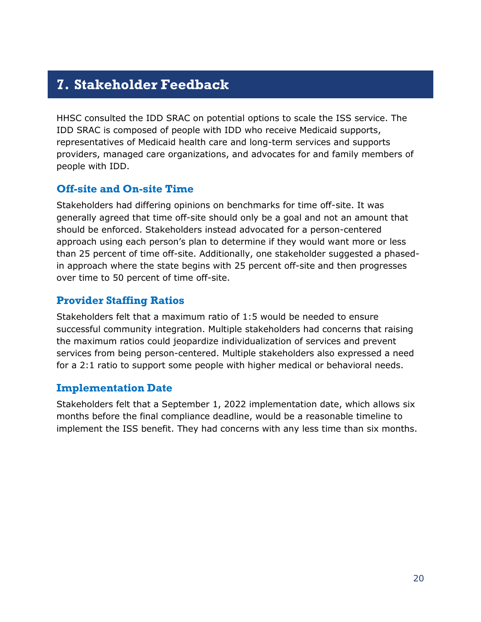### <span id="page-19-0"></span>**7. Stakeholder Feedback**

HHSC consulted the IDD SRAC on potential options to scale the ISS service. The IDD SRAC is composed of people with IDD who receive Medicaid supports, representatives of Medicaid health care and long-term services and supports providers, managed care organizations, and advocates for and family members of people with IDD.

#### **Off-site and On-site Time**

Stakeholders had differing opinions on benchmarks for time off-site. It was generally agreed that time off-site should only be a goal and not an amount that should be enforced. Stakeholders instead advocated for a person-centered approach using each person's plan to determine if they would want more or less than 25 percent of time off-site. Additionally, one stakeholder suggested a phasedin approach where the state begins with 25 percent off-site and then progresses over time to 50 percent of time off-site.

### **Provider Staffing Ratios**

Stakeholders felt that a maximum ratio of 1:5 would be needed to ensure successful community integration. Multiple stakeholders had concerns that raising the maximum ratios could jeopardize individualization of services and prevent services from being person-centered. Multiple stakeholders also expressed a need for a 2:1 ratio to support some people with higher medical or behavioral needs.

### **Implementation Date**

Stakeholders felt that a September 1, 2022 implementation date, which allows six months before the final compliance deadline, would be a reasonable timeline to implement the ISS benefit. They had concerns with any less time than six months.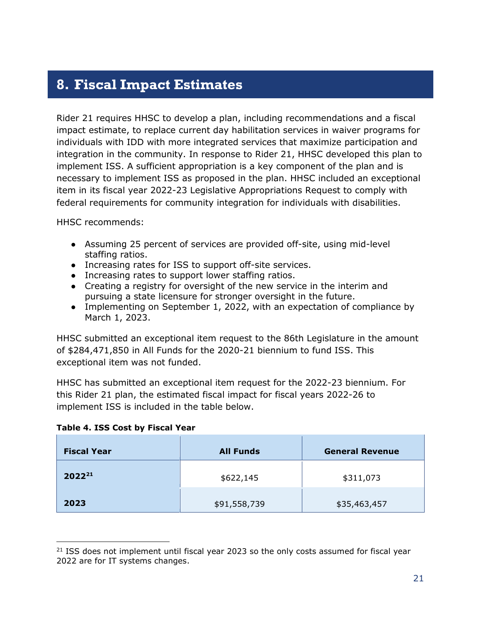### <span id="page-20-0"></span>**8. Fiscal Impact Estimates**

Rider 21 requires HHSC to develop a plan, including recommendations and a fiscal impact estimate, to replace current day habilitation services in waiver programs for individuals with IDD with more integrated services that maximize participation and integration in the community. In response to Rider 21, HHSC developed this plan to implement ISS. A sufficient appropriation is a key component of the plan and is necessary to implement ISS as proposed in the plan. HHSC included an exceptional item in its fiscal year 2022-23 Legislative Appropriations Request to comply with federal requirements for community integration for individuals with disabilities.

HHSC recommends:

- Assuming 25 percent of services are provided off-site, using mid-level staffing ratios.
- Increasing rates for ISS to support off-site services.
- Increasing rates to support lower staffing ratios.
- Creating a registry for oversight of the new service in the interim and pursuing a state licensure for stronger oversight in the future.
- Implementing on September 1, 2022, with an expectation of compliance by March 1, 2023.

HHSC submitted an exceptional item request to the 86th Legislature in the amount of \$284,471,850 in All Funds for the 2020-21 biennium to fund ISS. This exceptional item was not funded.

HHSC has submitted an exceptional item request for the 2022-23 biennium. For this Rider 21 plan, the estimated fiscal impact for fiscal years 2022-26 to implement ISS is included in the table below.

|  |  | Table 4. ISS Cost by Fiscal Year |  |
|--|--|----------------------------------|--|
|  |  |                                  |  |

| <b>Fiscal Year</b> | <b>All Funds</b> | <b>General Revenue</b> |
|--------------------|------------------|------------------------|
| $2022^{21}$        | \$622,145        | \$311,073              |
| 2023               | \$91,558,739     | \$35,463,457           |

 $\overline{a}$  $21$  ISS does not implement until fiscal year 2023 so the only costs assumed for fiscal year 2022 are for IT systems changes.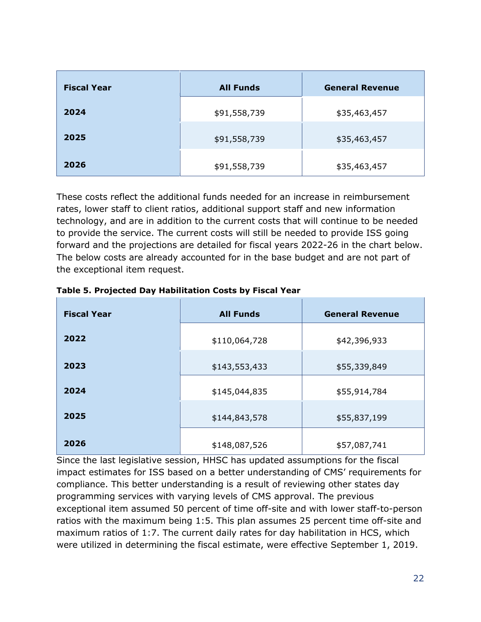| <b>Fiscal Year</b> | <b>All Funds</b> | <b>General Revenue</b> |
|--------------------|------------------|------------------------|
| 2024               | \$91,558,739     | \$35,463,457           |
| 2025               | \$91,558,739     | \$35,463,457           |
| 2026               | \$91,558,739     | \$35,463,457           |

These costs reflect the additional funds needed for an increase in reimbursement rates, lower staff to client ratios, additional support staff and new information technology, and are in addition to the current costs that will continue to be needed to provide the service. The current costs will still be needed to provide ISS going forward and the projections are detailed for fiscal years 2022-26 in the chart below. The below costs are already accounted for in the base budget and are not part of the exceptional item request.

| <b>Fiscal Year</b> | <b>All Funds</b> | <b>General Revenue</b> |
|--------------------|------------------|------------------------|
| 2022               | \$110,064,728    | \$42,396,933           |
| 2023               | \$143,553,433    | \$55,339,849           |
| 2024               | \$145,044,835    | \$55,914,784           |
| 2025               | \$144,843,578    | \$55,837,199           |
| 2026               | \$148,087,526    | \$57,087,741           |

|  |  | Table 5. Projected Day Habilitation Costs by Fiscal Year |
|--|--|----------------------------------------------------------|
|--|--|----------------------------------------------------------|

Since the last legislative session, HHSC has updated assumptions for the fiscal impact estimates for ISS based on a better understanding of CMS' requirements for compliance. This better understanding is a result of reviewing other states day programming services with varying levels of CMS approval. The previous exceptional item assumed 50 percent of time off-site and with lower staff-to-person ratios with the maximum being 1:5. This plan assumes 25 percent time off-site and maximum ratios of 1:7. The current daily rates for day habilitation in HCS, which were utilized in determining the fiscal estimate, were effective September 1, 2019.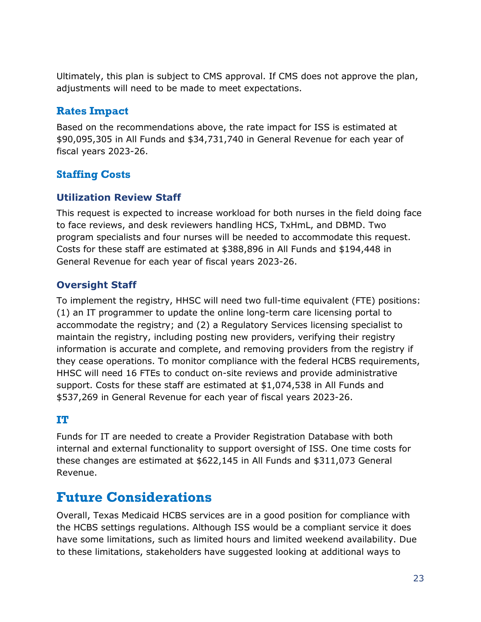Ultimately, this plan is subject to CMS approval. If CMS does not approve the plan, adjustments will need to be made to meet expectations.

### **Rates Impact**

Based on the recommendations above, the rate impact for ISS is estimated at \$90,095,305 in All Funds and \$34,731,740 in General Revenue for each year of fiscal years 2023-26.

### **Staffing Costs**

### **Utilization Review Staff**

This request is expected to increase workload for both nurses in the field doing face to face reviews, and desk reviewers handling HCS, TxHmL, and DBMD. Two program specialists and four nurses will be needed to accommodate this request. Costs for these staff are estimated at \$388,896 in All Funds and \$194,448 in General Revenue for each year of fiscal years 2023-26.

### **Oversight Staff**

To implement the registry, HHSC will need two full-time equivalent (FTE) positions: (1) an IT programmer to update the online long-term care licensing portal to accommodate the registry; and (2) a Regulatory Services licensing specialist to maintain the registry, including posting new providers, verifying their registry information is accurate and complete, and removing providers from the registry if they cease operations. To monitor compliance with the federal HCBS requirements, HHSC will need 16 FTEs to conduct on-site reviews and provide administrative support. Costs for these staff are estimated at \$1,074,538 in All Funds and \$537,269 in General Revenue for each year of fiscal years 2023-26.

### **IT**

Funds for IT are needed to create a Provider Registration Database with both internal and external functionality to support oversight of ISS. One time costs for these changes are estimated at \$622,145 in All Funds and \$311,073 General Revenue.

### <span id="page-22-0"></span>**Future Considerations**

Overall, Texas Medicaid HCBS services are in a good position for compliance with the HCBS settings regulations. Although ISS would be a compliant service it does have some limitations, such as limited hours and limited weekend availability. Due to these limitations, stakeholders have suggested looking at additional ways to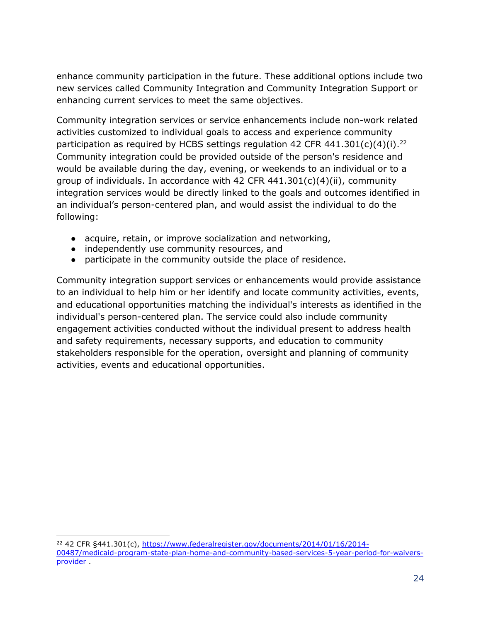enhance community participation in the future. These additional options include two new services called Community Integration and Community Integration Support or enhancing current services to meet the same objectives.

Community integration services or service enhancements include non-work related activities customized to individual goals to access and experience community participation as required by HCBS settings regulation 42 CFR 441.301(c)(4)(i).<sup>22</sup> Community integration could be provided outside of the person's residence and would be available during the day, evening, or weekends to an individual or to a group of individuals. In accordance with 42 CFR 441.301(c)(4)(ii), community integration services would be directly linked to the goals and outcomes identified in an individual's person-centered plan, and would assist the individual to do the following:

- acquire, retain, or improve socialization and networking,
- independently use community resources, and
- participate in the community outside the place of residence.

Community integration support services or enhancements would provide assistance to an individual to help him or her identify and locate community activities, events, and educational opportunities matching the individual's interests as identified in the individual's person-centered plan. The service could also include community engagement activities conducted without the individual present to address health and safety requirements, necessary supports, and education to community stakeholders responsible for the operation, oversight and planning of community activities, events and educational opportunities.

<sup>-</sup><sup>22</sup> 42 CFR §441.301(c), [https://www.federalregister.gov/documents/2014/01/16/2014-](https://www.federalregister.gov/documents/2014/01/16/2014-00487/medicaid-program-state-plan-home-and-community-based-services-5-year-period-for-waivers-provider) [00487/medicaid-program-state-plan-home-and-community-based-services-5-year-period-for-waivers](https://www.federalregister.gov/documents/2014/01/16/2014-00487/medicaid-program-state-plan-home-and-community-based-services-5-year-period-for-waivers-provider)[provider](https://www.federalregister.gov/documents/2014/01/16/2014-00487/medicaid-program-state-plan-home-and-community-based-services-5-year-period-for-waivers-provider) .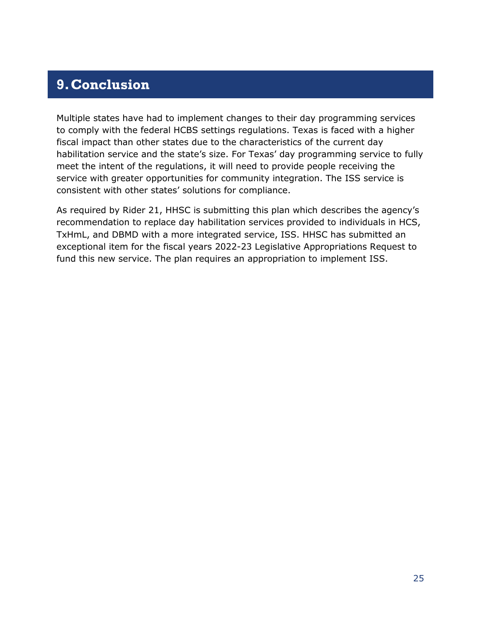### <span id="page-24-0"></span>**9.Conclusion**

Multiple states have had to implement changes to their day programming services to comply with the federal HCBS settings regulations. Texas is faced with a higher fiscal impact than other states due to the characteristics of the current day habilitation service and the state's size. For Texas' day programming service to fully meet the intent of the regulations, it will need to provide people receiving the service with greater opportunities for community integration. The ISS service is consistent with other states' solutions for compliance.

As required by Rider 21, HHSC is submitting this plan which describes the agency's recommendation to replace day habilitation services provided to individuals in HCS, TxHmL, and DBMD with a more integrated service, ISS. HHSC has submitted an exceptional item for the fiscal years 2022-23 Legislative Appropriations Request to fund this new service. The plan requires an appropriation to implement ISS.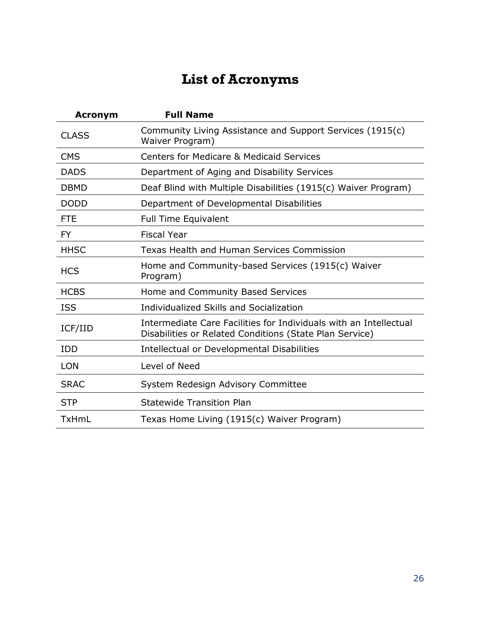# **List of Acronyms**

<span id="page-25-0"></span>

| <b>Acronym</b> | <b>Full Name</b>                                                                                                             |
|----------------|------------------------------------------------------------------------------------------------------------------------------|
| <b>CLASS</b>   | Community Living Assistance and Support Services (1915(c)<br>Waiver Program)                                                 |
| <b>CMS</b>     | <b>Centers for Medicare &amp; Medicaid Services</b>                                                                          |
| <b>DADS</b>    | Department of Aging and Disability Services                                                                                  |
| <b>DBMD</b>    | Deaf Blind with Multiple Disabilities (1915(c) Waiver Program)                                                               |
| <b>DODD</b>    | Department of Developmental Disabilities                                                                                     |
| <b>FTE</b>     | <b>Full Time Equivalent</b>                                                                                                  |
| <b>FY</b>      | <b>Fiscal Year</b>                                                                                                           |
| <b>HHSC</b>    | Texas Health and Human Services Commission                                                                                   |
| <b>HCS</b>     | Home and Community-based Services (1915(c) Waiver<br>Program)                                                                |
| <b>HCBS</b>    | Home and Community Based Services                                                                                            |
| <b>ISS</b>     | Individualized Skills and Socialization                                                                                      |
| ICF/IID        | Intermediate Care Facilities for Individuals with an Intellectual<br>Disabilities or Related Conditions (State Plan Service) |
| <b>IDD</b>     | Intellectual or Developmental Disabilities                                                                                   |
| <b>LON</b>     | Level of Need                                                                                                                |
| <b>SRAC</b>    | System Redesign Advisory Committee                                                                                           |
| <b>STP</b>     | <b>Statewide Transition Plan</b>                                                                                             |
| <b>TxHmL</b>   | Texas Home Living (1915(c) Waiver Program)                                                                                   |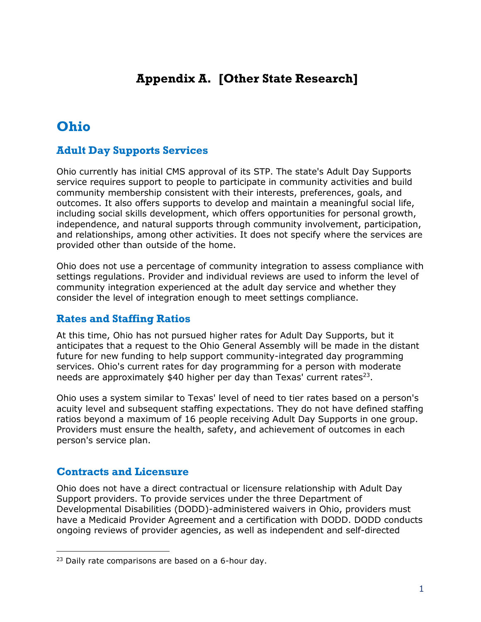### <span id="page-26-0"></span>**Appendix A. [Other State Research]**

# <span id="page-26-1"></span>**Ohio**

### **Adult Day Supports Services**

Ohio currently has initial CMS approval of its STP. The state's Adult Day Supports service requires support to people to participate in community activities and build community membership consistent with their interests, preferences, goals, and outcomes. It also offers supports to develop and maintain a meaningful social life, including social skills development, which offers opportunities for personal growth, independence, and natural supports through community involvement, participation, and relationships, among other activities. It does not specify where the services are provided other than outside of the home.

Ohio does not use a percentage of community integration to assess compliance with settings regulations. Provider and individual reviews are used to inform the level of community integration experienced at the adult day service and whether they consider the level of integration enough to meet settings compliance.

#### **Rates and Staffing Ratios**

At this time, Ohio has not pursued higher rates for Adult Day Supports, but it anticipates that a request to the Ohio General Assembly will be made in the distant future for new funding to help support community-integrated day programming services. Ohio's current rates for day programming for a person with moderate needs are approximately  $$40$  higher per day than Texas' current rates<sup>23</sup>.

Ohio uses a system similar to Texas' level of need to tier rates based on a person's acuity level and subsequent staffing expectations. They do not have defined staffing ratios beyond a maximum of 16 people receiving Adult Day Supports in one group. Providers must ensure the health, safety, and achievement of outcomes in each person's service plan.

#### **Contracts and Licensure**

-

Ohio does not have a direct contractual or licensure relationship with Adult Day Support providers. To provide services under the three Department of Developmental Disabilities (DODD)-administered waivers in Ohio, providers must have a Medicaid Provider Agreement and a certification with DODD. DODD conducts ongoing reviews of provider agencies, as well as independent and self-directed

<sup>&</sup>lt;sup>23</sup> Daily rate comparisons are based on a 6-hour day.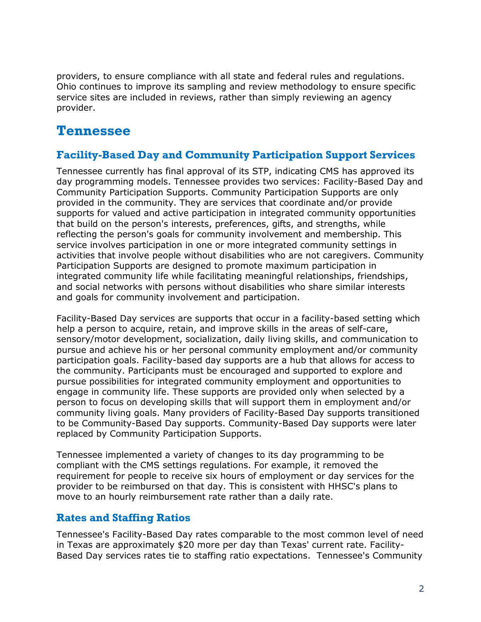providers, to ensure compliance with all state and federal rules and regulations. Ohio continues to improve its sampling and review methodology to ensure specific service sites are included in reviews, rather than simply reviewing an agency provider.

### <span id="page-27-0"></span>**Tennessee**

#### **Facility-Based Day and Community Participation Support Services**

Tennessee currently has final approval of its STP, indicating CMS has approved its day programming models. Tennessee provides two services: Facility-Based Day and Community Participation Supports. Community Participation Supports are only provided in the community. They are services that coordinate and/or provide supports for valued and active participation in integrated community opportunities that build on the person's interests, preferences, gifts, and strengths, while reflecting the person's goals for community involvement and membership. This service involves participation in one or more integrated community settings in activities that involve people without disabilities who are not caregivers. Community Participation Supports are designed to promote maximum participation in integrated community life while facilitating meaningful relationships, friendships, and social networks with persons without disabilities who share similar interests and goals for community involvement and participation.

Facility-Based Day services are supports that occur in a facility-based setting which help a person to acquire, retain, and improve skills in the areas of self-care, sensory/motor development, socialization, daily living skills, and communication to pursue and achieve his or her personal community employment and/or community participation goals. Facility-based day supports are a hub that allows for access to the community. Participants must be encouraged and supported to explore and pursue possibilities for integrated community employment and opportunities to engage in community life. These supports are provided only when selected by a person to focus on developing skills that will support them in employment and/or community living goals. Many providers of Facility-Based Day supports transitioned to be Community-Based Day supports. Community-Based Day supports were later replaced by Community Participation Supports.

Tennessee implemented a variety of changes to its day programming to be compliant with the CMS settings regulations. For example, it removed the requirement for people to receive six hours of employment or day services for the provider to be reimbursed on that day. This is consistent with HHSC's plans to move to an hourly reimbursement rate rather than a daily rate.

#### **Rates and Staffing Ratios**

Tennessee's Facility-Based Day rates comparable to the most common level of need in Texas are approximately \$20 more per day than Texas' current rate. Facility-Based Day services rates tie to staffing ratio expectations. Tennessee's Community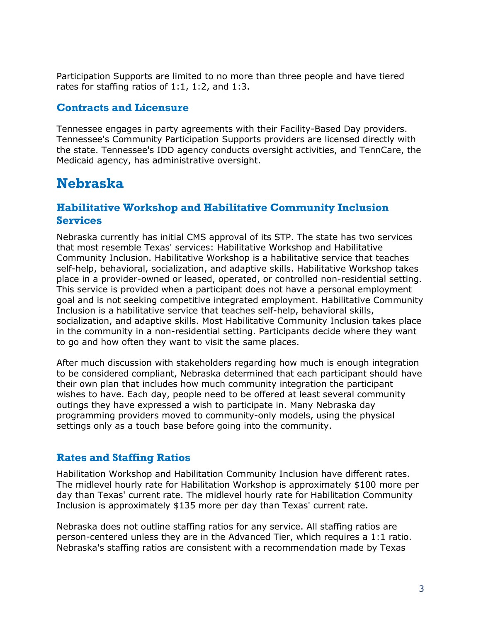Participation Supports are limited to no more than three people and have tiered rates for staffing ratios of 1:1, 1:2, and 1:3.

#### **Contracts and Licensure**

Tennessee engages in party agreements with their Facility-Based Day providers. Tennessee's Community Participation Supports providers are licensed directly with the state. Tennessee's IDD agency conducts oversight activities, and TennCare, the Medicaid agency, has administrative oversight.

# <span id="page-28-0"></span>**Nebraska**

#### **Habilitative Workshop and Habilitative Community Inclusion Services**

Nebraska currently has initial CMS approval of its STP. The state has two services that most resemble Texas' services: Habilitative Workshop and Habilitative Community Inclusion. Habilitative Workshop is a habilitative service that teaches self-help, behavioral, socialization, and adaptive skills. Habilitative Workshop takes place in a provider-owned or leased, operated, or controlled non-residential setting. This service is provided when a participant does not have a personal employment goal and is not seeking competitive integrated employment. Habilitative Community Inclusion is a habilitative service that teaches self-help, behavioral skills, socialization, and adaptive skills. Most Habilitative Community Inclusion takes place in the community in a non-residential setting. Participants decide where they want to go and how often they want to visit the same places.

After much discussion with stakeholders regarding how much is enough integration to be considered compliant, Nebraska determined that each participant should have their own plan that includes how much community integration the participant wishes to have. Each day, people need to be offered at least several community outings they have expressed a wish to participate in. Many Nebraska day programming providers moved to community-only models, using the physical settings only as a touch base before going into the community.

#### **Rates and Staffing Ratios**

Habilitation Workshop and Habilitation Community Inclusion have different rates. The midlevel hourly rate for Habilitation Workshop is approximately \$100 more per day than Texas' current rate. The midlevel hourly rate for Habilitation Community Inclusion is approximately \$135 more per day than Texas' current rate.

Nebraska does not outline staffing ratios for any service. All staffing ratios are person-centered unless they are in the Advanced Tier, which requires a 1:1 ratio. Nebraska's staffing ratios are consistent with a recommendation made by Texas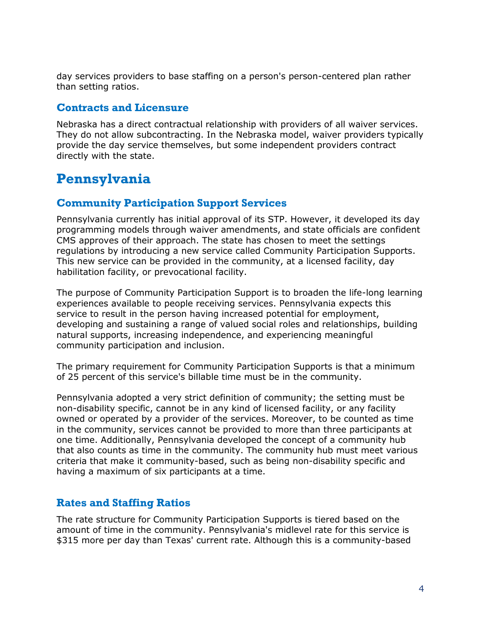day services providers to base staffing on a person's person-centered plan rather than setting ratios.

#### **Contracts and Licensure**

Nebraska has a direct contractual relationship with providers of all waiver services. They do not allow subcontracting. In the Nebraska model, waiver providers typically provide the day service themselves, but some independent providers contract directly with the state.

# <span id="page-29-0"></span>**Pennsylvania**

#### **Community Participation Support Services**

Pennsylvania currently has initial approval of its STP. However, it developed its day programming models through waiver amendments, and state officials are confident CMS approves of their approach. The state has chosen to meet the settings regulations by introducing a new service called Community Participation Supports. This new service can be provided in the community, at a licensed facility, day habilitation facility, or prevocational facility.

The purpose of Community Participation Support is to broaden the life-long learning experiences available to people receiving services. Pennsylvania expects this service to result in the person having increased potential for employment, developing and sustaining a range of valued social roles and relationships, building natural supports, increasing independence, and experiencing meaningful community participation and inclusion.

The primary requirement for Community Participation Supports is that a minimum of 25 percent of this service's billable time must be in the community.

Pennsylvania adopted a very strict definition of community; the setting must be non-disability specific, cannot be in any kind of licensed facility, or any facility owned or operated by a provider of the services. Moreover, to be counted as time in the community, services cannot be provided to more than three participants at one time. Additionally, Pennsylvania developed the concept of a community hub that also counts as time in the community. The community hub must meet various criteria that make it community-based, such as being non-disability specific and having a maximum of six participants at a time.

#### **Rates and Staffing Ratios**

The rate structure for Community Participation Supports is tiered based on the amount of time in the community. Pennsylvania's midlevel rate for this service is \$315 more per day than Texas' current rate. Although this is a community-based